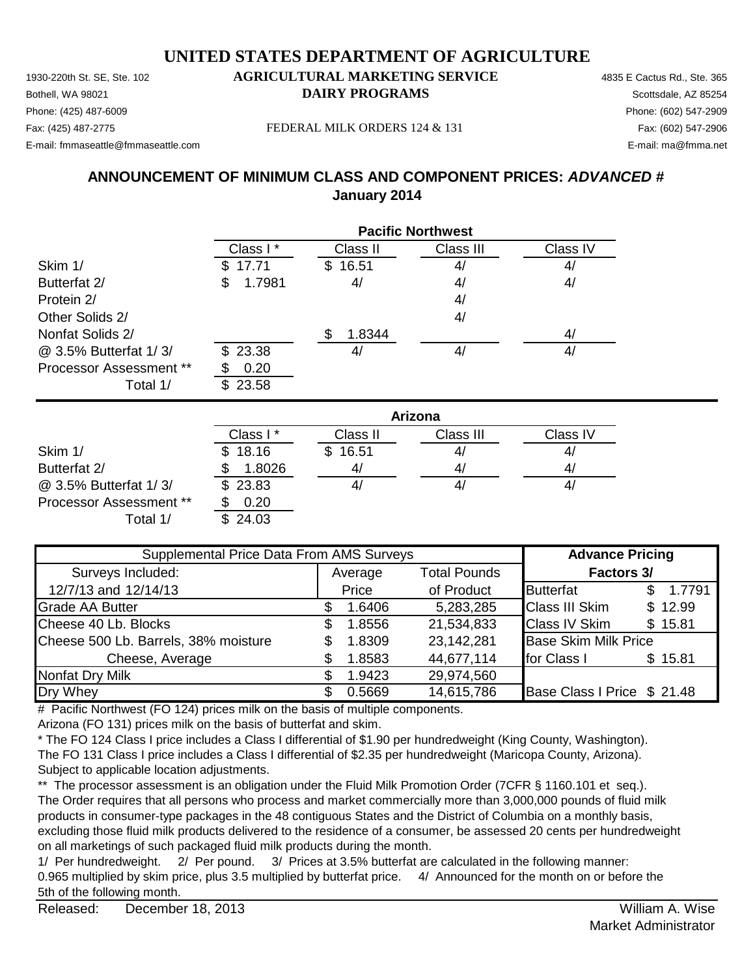1930-220th St. SE, Ste. 102 **AGRICULTURAL MARKETING SERVICE** 4835 E Cactus Rd., Ste. 365 **Bothell, WA 98021 DAIRY PROGRAMS** Scottsdale, AZ 85254 E-mail: fmmaseattle@fmmaseattle.com E-mail: ma@fmma.net

# Phone: (425) 487-6009 Phone: (602) 547-2909

Fax: (425) 487-2775 Fax: (602) 547-2906 FEDERAL MILK ORDERS 124 & 131

### **ANNOUNCEMENT OF MINIMUM CLASS AND COMPONENT PRICES:** *ADVANCED #* **January 2014**

|                                | <b>Pacific Northwest</b> |             |           |          |  |
|--------------------------------|--------------------------|-------------|-----------|----------|--|
|                                | Class I*                 | Class II    | Class III | Class IV |  |
| Skim 1/                        | 17.71                    | 16.51<br>S. | 4/        | 4/       |  |
| Butterfat 2/                   | 1.7981<br>\$             | 4/          | 4/        | 4/       |  |
| Protein 2/                     |                          |             | 4/        |          |  |
| Other Solids 2/                |                          |             | 4/        |          |  |
| Nonfat Solids 2/               |                          | 1.8344      |           | 4/       |  |
| @ 3.5% Butterfat 1/3/          | \$23.38                  | 41          | 4/        | 4/       |  |
| <b>Processor Assessment **</b> | 0.20                     |             |           |          |  |
| Total 1/                       | 23.58<br>\$.             |             |           |          |  |

|                                | Arizona   |              |           |          |  |
|--------------------------------|-----------|--------------|-----------|----------|--|
|                                | Class I * | Class II     | Class III | Class IV |  |
| Skim 1/                        | \$18.16   | 16.51<br>\$. | 41        | 41       |  |
| Butterfat 2/                   | 1.8026    | 41           | 41        | 4/       |  |
| @ 3.5% Butterfat 1/3/          | \$23.83   |              | 41        | 4,       |  |
| <b>Processor Assessment **</b> | 0.20      |              |           |          |  |
| Total 1/                       | \$24.03   |              |           |          |  |

| Supplemental Price Data From AMS Surveys |         |        |                     | <b>Advance Pricing</b>      |               |  |
|------------------------------------------|---------|--------|---------------------|-----------------------------|---------------|--|
| Surveys Included:                        | Average |        | <b>Total Pounds</b> | Factors 3/                  |               |  |
| 12/7/13 and 12/14/13                     |         | Price  | of Product          | <b>Butterfat</b>            | 1.7791<br>\$. |  |
| <b>Grade AA Butter</b>                   |         | 1.6406 | 5,283,285           | <b>Class III Skim</b>       | \$12.99       |  |
| Cheese 40 Lb. Blocks                     | S.      | 1.8556 | 21,534,833          | <b>Class IV Skim</b>        | \$15.81       |  |
| Cheese 500 Lb. Barrels, 38% moisture     |         | 1.8309 | 23,142,281          | <b>Base Skim Milk Price</b> |               |  |
| Cheese, Average                          |         | 1.8583 | 44,677,114          | for Class I                 | \$15.81       |  |
| <b>Nonfat Dry Milk</b>                   |         | 1.9423 | 29,974,560          |                             |               |  |
| Dry Whey                                 |         | 0.5669 | 14,615,786          | Base Class I Price \$ 21.48 |               |  |

# Pacific Northwest (FO 124) prices milk on the basis of multiple components.

Arizona (FO 131) prices milk on the basis of butterfat and skim.

\* The FO 124 Class I price includes a Class I differential of \$1.90 per hundredweight (King County, Washington). The FO 131 Class I price includes a Class I differential of \$2.35 per hundredweight (Maricopa County, Arizona). Subject to applicable location adjustments.

\*\* The processor assessment is an obligation under the Fluid Milk Promotion Order (7CFR § 1160.101 et seq.). The Order requires that all persons who process and market commercially more than 3,000,000 pounds of fluid milk products in consumer-type packages in the 48 contiguous States and the District of Columbia on a monthly basis, excluding those fluid milk products delivered to the residence of a consumer, be assessed 20 cents per hundredweight on all marketings of such packaged fluid milk products during the month.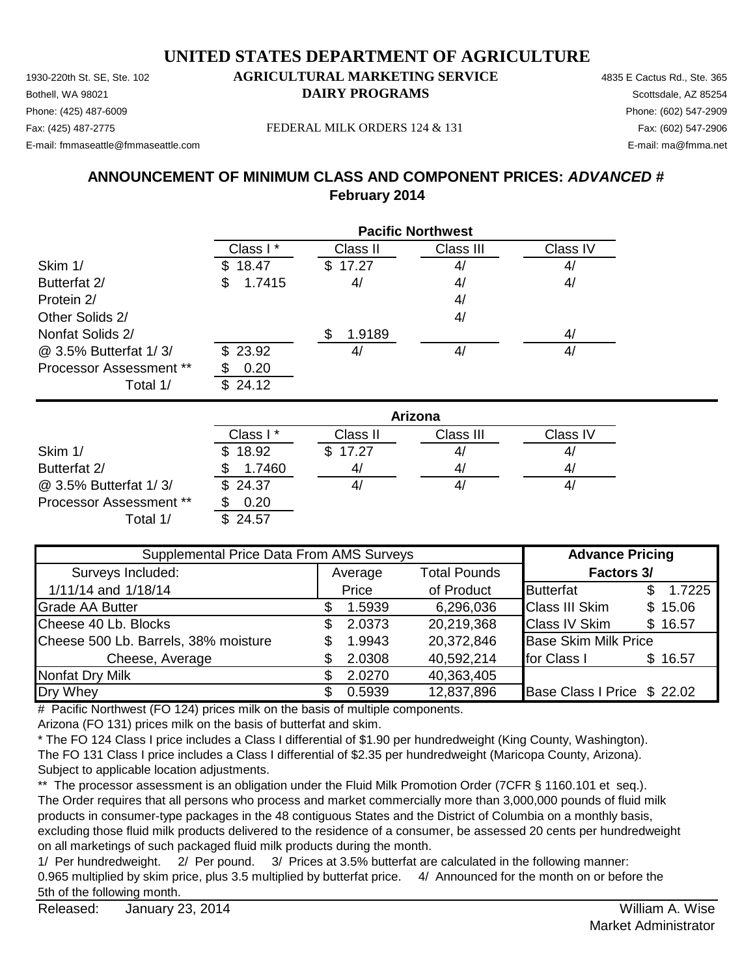1930-220th St. SE, Ste. 102 **AGRICULTURAL MARKETING SERVICE** 4835 E Cactus Rd., Ste. 365 **Bothell, WA 98021 DAIRY PROGRAMS** Scottsdale, AZ 85254 E-mail: fmmaseattle@fmmaseattle.com E-mail: ma@fmma.net

# Phone: (425) 487-6009 Phone: (602) 547-2909

Fax: (425) 487-2775 Fax: (602) 547-2906 FEDERAL MILK ORDERS 124 & 131

### **ANNOUNCEMENT OF MINIMUM CLASS AND COMPONENT PRICES:** *ADVANCED #* **February 2014**

|                                | <b>Pacific Northwest</b> |          |           |          |  |  |
|--------------------------------|--------------------------|----------|-----------|----------|--|--|
|                                | Class I*                 | Class II | Class III | Class IV |  |  |
| Skim 1/                        | 18.47<br>SS.             | \$17.27  | 4/        | 4/       |  |  |
| Butterfat 2/                   | 1.7415<br>\$             | 4/       | 4/        | 4/       |  |  |
| Protein 2/                     |                          |          | 4/        |          |  |  |
| Other Solids 2/                |                          |          | 4/        |          |  |  |
| Nonfat Solids 2/               |                          | 1.9189   |           | 4/       |  |  |
| @ 3.5% Butterfat 1/3/          | \$23.92                  | 4/       | 4/        | 4/       |  |  |
| <b>Processor Assessment **</b> | 0.20                     |          |           |          |  |  |
| Total 1/                       | 24.12<br>\$.             |          |           |          |  |  |

|                                | Arizona  |          |           |          |  |  |
|--------------------------------|----------|----------|-----------|----------|--|--|
|                                | Class I* | Class II | Class III | Class IV |  |  |
| Skim 1/                        | \$18.92  | \$17.27  | 41        | 4/       |  |  |
| Butterfat 2/                   | 1.7460   | 41       | 41        | 41       |  |  |
| @ 3.5% Butterfat 1/3/          | \$24.37  |          | 41        | 41       |  |  |
| <b>Processor Assessment **</b> | 0.20     |          |           |          |  |  |
| Total 1/                       | \$24.57  |          |           |          |  |  |

| Supplemental Price Data From AMS Surveys |  |         |                     | <b>Advance Pricing</b>      |         |
|------------------------------------------|--|---------|---------------------|-----------------------------|---------|
| Surveys Included:                        |  | Average | <b>Total Pounds</b> | Factors 3/                  |         |
| 1/11/14 and 1/18/14                      |  | Price   | of Product          | <b>Butterfat</b>            | 1.7225  |
| <b>Grade AA Butter</b>                   |  | 1.5939  | 6,296,036           | <b>Class III Skim</b>       | \$15.06 |
| Cheese 40 Lb. Blocks                     |  | 2.0373  | 20,219,368          | <b>Class IV Skim</b>        | \$16.57 |
| Cheese 500 Lb. Barrels, 38% moisture     |  | 1.9943  | 20,372,846          | <b>Base Skim Milk Price</b> |         |
| Cheese, Average                          |  | 2.0308  | 40,592,214          | for Class I                 | \$16.57 |
| Nonfat Dry Milk                          |  | 2.0270  | 40,363,405          |                             |         |
| Dry Whey                                 |  | 0.5939  | 12,837,896          | Base Class I Price \$22.02  |         |

# Pacific Northwest (FO 124) prices milk on the basis of multiple components.

Arizona (FO 131) prices milk on the basis of butterfat and skim.

\* The FO 124 Class I price includes a Class I differential of \$1.90 per hundredweight (King County, Washington). The FO 131 Class I price includes a Class I differential of \$2.35 per hundredweight (Maricopa County, Arizona). Subject to applicable location adjustments.

\*\* The processor assessment is an obligation under the Fluid Milk Promotion Order (7CFR § 1160.101 et seq.). The Order requires that all persons who process and market commercially more than 3,000,000 pounds of fluid milk products in consumer-type packages in the 48 contiguous States and the District of Columbia on a monthly basis, excluding those fluid milk products delivered to the residence of a consumer, be assessed 20 cents per hundredweight on all marketings of such packaged fluid milk products during the month.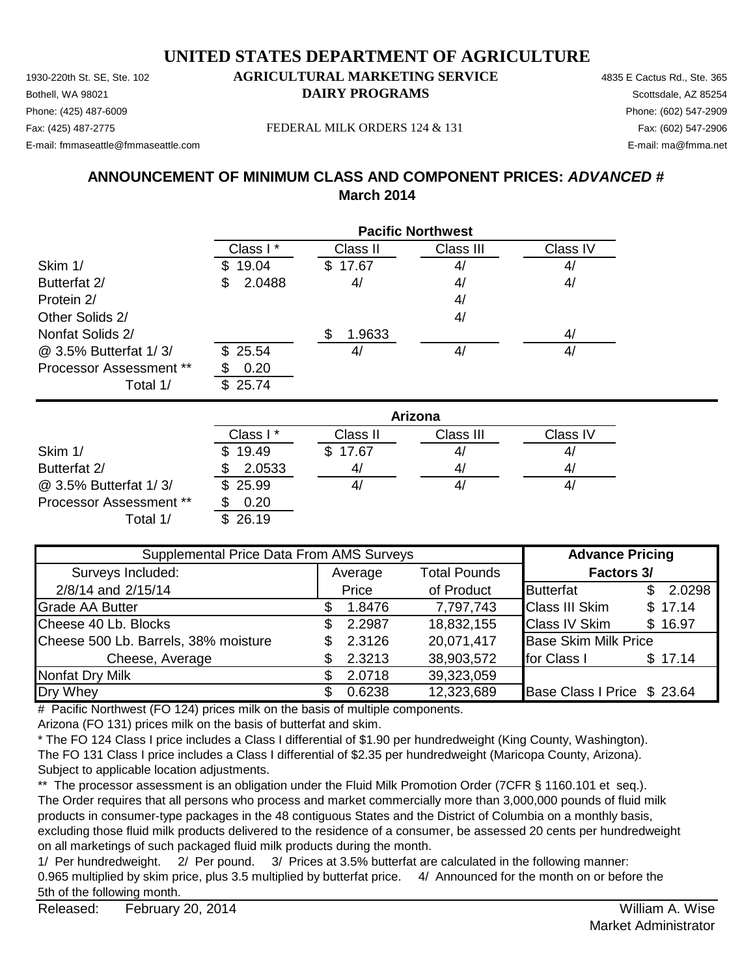1930-220th St. SE, Ste. 102 **AGRICULTURAL MARKETING SERVICE** 4835 E Cactus Rd., Ste. 365 **Bothell, WA 98021 DAIRY PROGRAMS** Scottsdale, AZ 85254 E-mail: fmmaseattle@fmmaseattle.com E-mail: ma@fmma.net

# Phone: (425) 487-6009 Phone: (602) 547-2909

Fax: (425) 487-2775 Fax: (602) 547-2906 FEDERAL MILK ORDERS 124 & 131

### **ANNOUNCEMENT OF MINIMUM CLASS AND COMPONENT PRICES:** *ADVANCED #* **March 2014**

|                                | <b>Pacific Northwest</b> |          |           |          |  |  |
|--------------------------------|--------------------------|----------|-----------|----------|--|--|
|                                | Class I*                 | Class II | Class III | Class IV |  |  |
| Skim 1/                        | 19.04                    | \$17.67  | 4/        | 4/       |  |  |
| Butterfat 2/                   | 2.0488<br>S              | 4/       | 4/        | 4/       |  |  |
| Protein 2/                     |                          |          | 4/        |          |  |  |
| Other Solids 2/                |                          |          | 4/        |          |  |  |
| Nonfat Solids 2/               |                          | 1.9633   |           | 4/       |  |  |
| @ 3.5% Butterfat 1/3/          | \$25.54                  | 4/       | 4/        | 4/       |  |  |
| <b>Processor Assessment **</b> | 0.20                     |          |           |          |  |  |
| Total 1/                       | \$25.74                  |          |           |          |  |  |

|                                | Arizona     |          |           |          |  |
|--------------------------------|-------------|----------|-----------|----------|--|
|                                | Class I*    | Class II | Class III | Class IV |  |
| Skim 1/                        | 19.49<br>\$ | \$17.67  | 4/        | 4,       |  |
| Butterfat 2/                   | 2.0533      | 41       | 4/        | 4        |  |
| @ 3.5% Butterfat 1/3/          | \$25.99     |          | 4/        | 4,       |  |
| <b>Processor Assessment **</b> | 0.20        |          |           |          |  |
| Total 1/                       | 26.19       |          |           |          |  |

| Supplemental Price Data From AMS Surveys |         |        |                     | <b>Advance Pricing</b>      |               |  |
|------------------------------------------|---------|--------|---------------------|-----------------------------|---------------|--|
| Surveys Included:                        | Average |        | <b>Total Pounds</b> | Factors 3/                  |               |  |
| 2/8/14 and 2/15/14                       |         | Price  | of Product          | <b>Butterfat</b>            | 2.0298<br>\$. |  |
| <b>Grade AA Butter</b>                   |         | 1.8476 | 7,797,743           | <b>Class III Skim</b>       | \$17.14       |  |
| Cheese 40 Lb. Blocks                     |         | 2.2987 | 18,832,155          | <b>Class IV Skim</b>        | \$16.97       |  |
| Cheese 500 Lb. Barrels, 38% moisture     |         | 2.3126 | 20,071,417          | <b>Base Skim Milk Price</b> |               |  |
| Cheese, Average                          |         | 2.3213 | 38,903,572          | for Class I                 | \$17.14       |  |
| Nonfat Dry Milk                          |         | 2.0718 | 39,323,059          |                             |               |  |
| Dry Whey                                 |         | 0.6238 | 12,323,689          | Base Class I Price \$ 23.64 |               |  |

# Pacific Northwest (FO 124) prices milk on the basis of multiple components.

Arizona (FO 131) prices milk on the basis of butterfat and skim.

\* The FO 124 Class I price includes a Class I differential of \$1.90 per hundredweight (King County, Washington). The FO 131 Class I price includes a Class I differential of \$2.35 per hundredweight (Maricopa County, Arizona). Subject to applicable location adjustments.

\*\* The processor assessment is an obligation under the Fluid Milk Promotion Order (7CFR § 1160.101 et seq.). The Order requires that all persons who process and market commercially more than 3,000,000 pounds of fluid milk products in consumer-type packages in the 48 contiguous States and the District of Columbia on a monthly basis, excluding those fluid milk products delivered to the residence of a consumer, be assessed 20 cents per hundredweight on all marketings of such packaged fluid milk products during the month.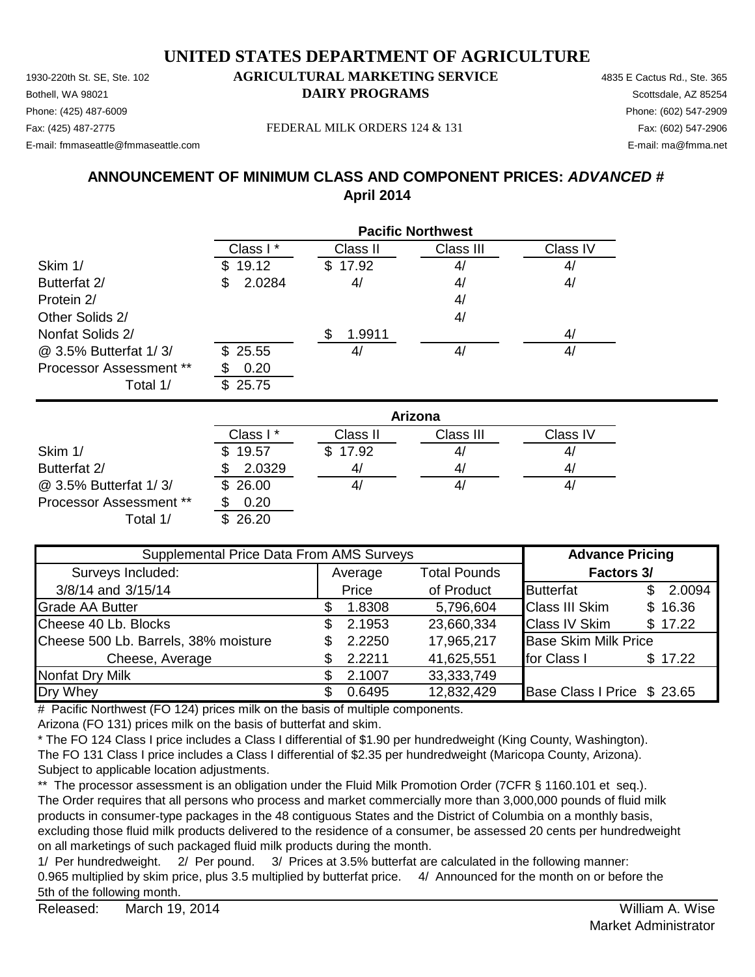1930-220th St. SE, Ste. 102 **AGRICULTURAL MARKETING SERVICE** 4835 E Cactus Rd., Ste. 365 **Bothell, WA 98021 DAIRY PROGRAMS** Scottsdale, AZ 85254 E-mail: fmmaseattle@fmmaseattle.com E-mail: ma@fmma.net

# Phone: (425) 487-6009 Phone: (602) 547-2909

Fax: (425) 487-2775 Fax: (602) 547-2906 FEDERAL MILK ORDERS 124 & 131

### **ANNOUNCEMENT OF MINIMUM CLASS AND COMPONENT PRICES:** *ADVANCED #* **April 2014**

|                                | <b>Pacific Northwest</b> |          |           |          |  |
|--------------------------------|--------------------------|----------|-----------|----------|--|
|                                | Class I*                 | Class II | Class III | Class IV |  |
| Skim 1/                        | 19.12                    | \$17.92  | 4/        | 4/       |  |
| Butterfat 2/                   | 2.0284<br>S              | 4/       | 4/        | 4/       |  |
| Protein 2/                     |                          |          | 4/        |          |  |
| Other Solids 2/                |                          |          | 4/        |          |  |
| Nonfat Solids 2/               |                          | 1.9911   |           | 4/       |  |
| @ 3.5% Butterfat 1/3/          | \$25.55                  | 4,       | 4/        | 4/       |  |
| <b>Processor Assessment **</b> | 0.20                     |          |           |          |  |
| Total 1/                       | 25.75<br>\$              |          |           |          |  |

|                         | Arizona      |          |           |          |  |
|-------------------------|--------------|----------|-----------|----------|--|
|                         | Class I *    | Class II | Class III | Class IV |  |
| Skim 1/                 | 19.57<br>\$. | \$17.92  | 41        | 4/       |  |
| Butterfat 2/            | 2.0329       | 41       | 41        | 41       |  |
| @ 3.5% Butterfat 1/3/   | \$26.00      |          | 41        | 41       |  |
| Processor Assessment ** | 0.20         |          |           |          |  |
| Total 1/                | 26.20        |          |           |          |  |

| Supplemental Price Data From AMS Surveys |         |        |                     | <b>Advance Pricing</b>      |     |         |
|------------------------------------------|---------|--------|---------------------|-----------------------------|-----|---------|
| Surveys Included:                        | Average |        | <b>Total Pounds</b> | Factors 3/                  |     |         |
| 3/8/14 and 3/15/14                       |         | Price  | of Product          | <b>Butterfat</b>            | \$. | 2.0094  |
| <b>Grade AA Butter</b>                   |         | 1.8308 | 5,796,604           | <b>Class III Skim</b>       |     | \$16.36 |
| Cheese 40 Lb. Blocks                     | S.      | 2.1953 | 23,660,334          | <b>Class IV Skim</b>        |     | \$17.22 |
| Cheese 500 Lb. Barrels, 38% moisture     |         | 2.2250 | 17,965,217          | <b>Base Skim Milk Price</b> |     |         |
| Cheese, Average                          |         | 2.2211 | 41,625,551          | for Class I                 |     | \$17.22 |
| Nonfat Dry Milk                          |         | 2.1007 | 33, 333, 749        |                             |     |         |
| Dry Whey                                 |         | 0.6495 | 12,832,429          | Base Class I Price \$ 23.65 |     |         |

# Pacific Northwest (FO 124) prices milk on the basis of multiple components.

Arizona (FO 131) prices milk on the basis of butterfat and skim.

\* The FO 124 Class I price includes a Class I differential of \$1.90 per hundredweight (King County, Washington). The FO 131 Class I price includes a Class I differential of \$2.35 per hundredweight (Maricopa County, Arizona). Subject to applicable location adjustments.

\*\* The processor assessment is an obligation under the Fluid Milk Promotion Order (7CFR § 1160.101 et seq.). The Order requires that all persons who process and market commercially more than 3,000,000 pounds of fluid milk products in consumer-type packages in the 48 contiguous States and the District of Columbia on a monthly basis, excluding those fluid milk products delivered to the residence of a consumer, be assessed 20 cents per hundredweight on all marketings of such packaged fluid milk products during the month.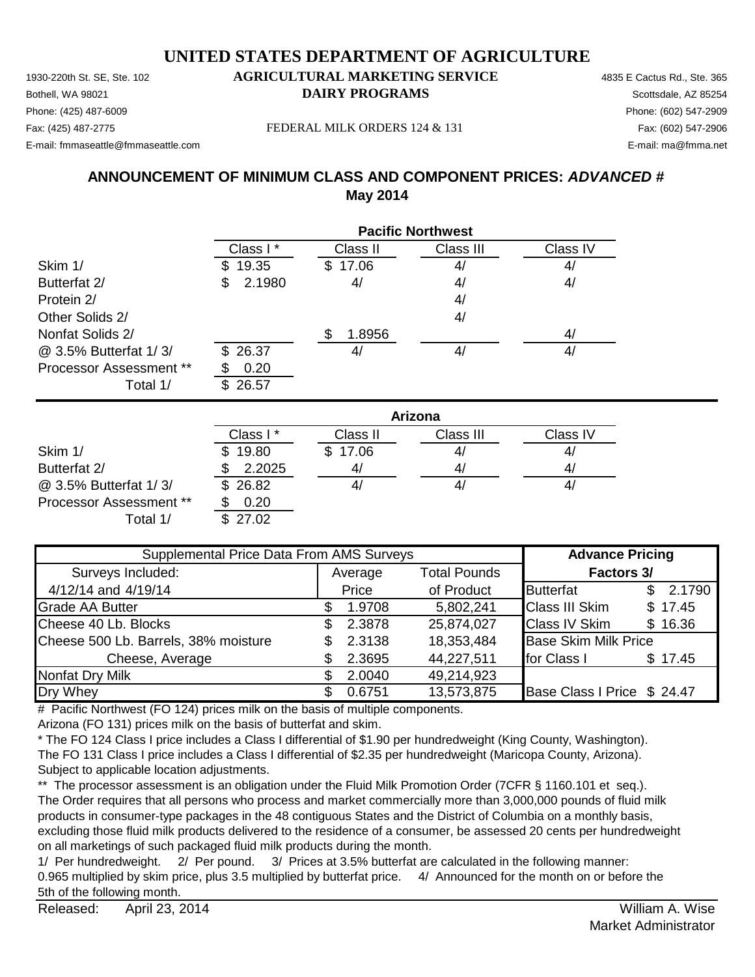1930-220th St. SE, Ste. 102 **AGRICULTURAL MARKETING SERVICE** 4835 E Cactus Rd., Ste. 365 Phone: (425) 487-6009 Phone: (602) 547-2909 E-mail: fmmaseattle@fmmaseattle.com E-mail: ma@fmma.net

# **Bothell, WA 98021 DAIRY PROGRAMS** Scottsdale, AZ 85254

Fax: (425) 487-2775 Fax: (602) 547-2906 FEDERAL MILK ORDERS 124 & 131

### **ANNOUNCEMENT OF MINIMUM CLASS AND COMPONENT PRICES:** *ADVANCED #* **May 2014**

|                                | <b>Pacific Northwest</b> |          |           |          |  |
|--------------------------------|--------------------------|----------|-----------|----------|--|
|                                | Class I*                 | Class II | Class III | Class IV |  |
| Skim 1/                        | 19.35<br>S.              | \$17.06  | 4/        | 4/       |  |
| Butterfat 2/                   | 2.1980<br>\$             | 4/       | 4/        | 4/       |  |
| Protein 2/                     |                          |          | 4/        |          |  |
| Other Solids 2/                |                          |          | 4/        |          |  |
| Nonfat Solids 2/               |                          | 1.8956   |           | 4/       |  |
| @ 3.5% Butterfat 1/3/          | \$26.37                  | 41       | 4/        | 4/       |  |
| <b>Processor Assessment **</b> | 0.20                     |          |           |          |  |
| Total 1/                       | 26.57<br>\$.             |          |           |          |  |

|                         | Arizona      |          |           |          |  |
|-------------------------|--------------|----------|-----------|----------|--|
|                         | Class I*     | Class II | Class III | Class IV |  |
| Skim 1/                 | 19.80<br>\$. | \$17.06  | 41        | 4/       |  |
| Butterfat 2/            | 2.2025       | 41       | 4/        | 41       |  |
| @ 3.5% Butterfat 1/3/   | \$26.82      | 41       | 4,        | 41       |  |
| Processor Assessment ** | 0.20         |          |           |          |  |
| Total 1/                | \$27.02      |          |           |          |  |

| Supplemental Price Data From AMS Surveys |         |        |                     | <b>Advance Pricing</b>      |     |         |
|------------------------------------------|---------|--------|---------------------|-----------------------------|-----|---------|
| Surveys Included:                        | Average |        | <b>Total Pounds</b> | Factors 3/                  |     |         |
| 4/12/14 and 4/19/14                      |         | Price  | of Product          | <b>Butterfat</b>            | \$. | 2.1790  |
| <b>Grade AA Butter</b>                   |         | 1.9708 | 5,802,241           | <b>Class III Skim</b>       |     | \$17.45 |
| Cheese 40 Lb. Blocks                     |         | 2.3878 | 25,874,027          | <b>Class IV Skim</b>        |     | \$16.36 |
| Cheese 500 Lb. Barrels, 38% moisture     |         | 2.3138 | 18,353,484          | <b>Base Skim Milk Price</b> |     |         |
| Cheese, Average                          |         | 2.3695 | 44,227,511          | for Class I                 |     | \$17.45 |
| <b>Nonfat Dry Milk</b>                   |         | 2.0040 | 49,214,923          |                             |     |         |
| Dry Whey                                 |         | 0.6751 | 13,573,875          | Base Class I Price \$ 24.47 |     |         |

# Pacific Northwest (FO 124) prices milk on the basis of multiple components.

Arizona (FO 131) prices milk on the basis of butterfat and skim.

\* The FO 124 Class I price includes a Class I differential of \$1.90 per hundredweight (King County, Washington). The FO 131 Class I price includes a Class I differential of \$2.35 per hundredweight (Maricopa County, Arizona). Subject to applicable location adjustments.

\*\* The processor assessment is an obligation under the Fluid Milk Promotion Order (7CFR § 1160.101 et seq.). The Order requires that all persons who process and market commercially more than 3,000,000 pounds of fluid milk products in consumer-type packages in the 48 contiguous States and the District of Columbia on a monthly basis, excluding those fluid milk products delivered to the residence of a consumer, be assessed 20 cents per hundredweight on all marketings of such packaged fluid milk products during the month.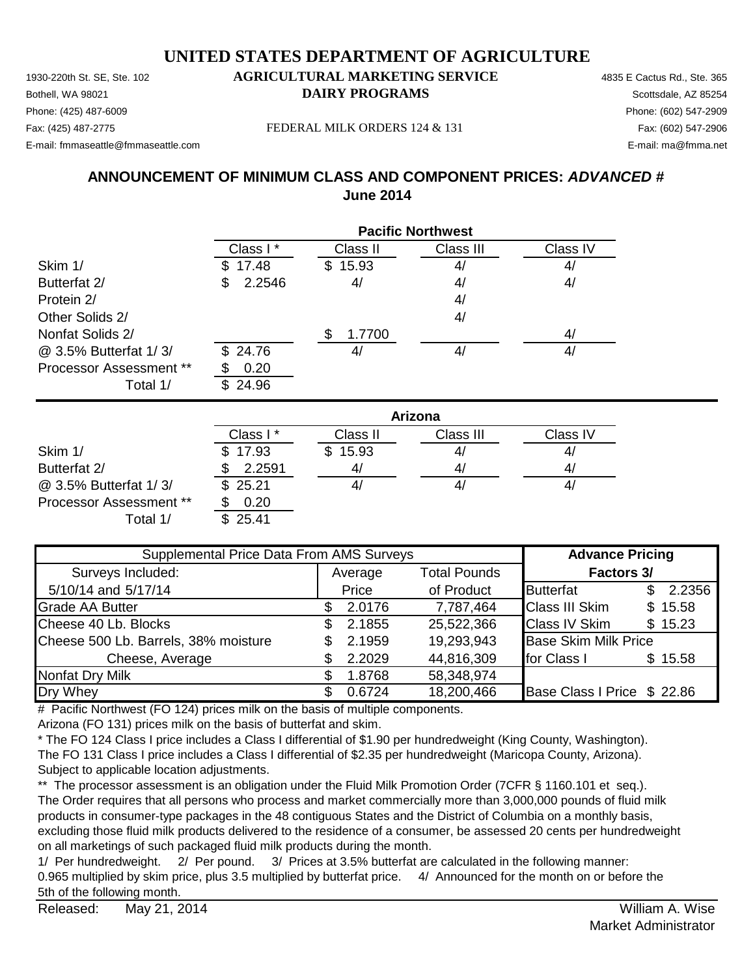1930-220th St. SE, Ste. 102 **AGRICULTURAL MARKETING SERVICE** 4835 E Cactus Rd., Ste. 365 **Bothell, WA 98021 DAIRY PROGRAMS** Scottsdale, AZ 85254 E-mail: fmmaseattle@fmmaseattle.com E-mail: ma@fmma.net

# Phone: (425) 487-6009 Phone: (602) 547-2909

Fax: (425) 487-2775 Fax: (602) 547-2906 FEDERAL MILK ORDERS 124 & 131

### **ANNOUNCEMENT OF MINIMUM CLASS AND COMPONENT PRICES:** *ADVANCED #* **June 2014**

|                                | <b>Pacific Northwest</b> |          |           |          |  |
|--------------------------------|--------------------------|----------|-----------|----------|--|
|                                | Class I *                | Class II | Class III | Class IV |  |
| Skim 1/                        | 17.48                    | \$15.93  | 4/        | 4/       |  |
| Butterfat 2/                   | 2.2546<br>S              | 4/       | 4/        | 4/       |  |
| Protein 2/                     |                          |          | 4/        |          |  |
| Other Solids 2/                |                          |          | 4/        |          |  |
| Nonfat Solids 2/               |                          | 1.7700   |           | 4/       |  |
| @ 3.5% Butterfat 1/3/          | \$24.76                  | 4,       | 4/        | 4/       |  |
| <b>Processor Assessment **</b> | 0.20                     |          |           |          |  |
| Total 1/                       | 24.96<br>£.              |          |           |          |  |

|                                | Arizona   |              |           |          |  |
|--------------------------------|-----------|--------------|-----------|----------|--|
|                                | Class I * | Class II     | Class III | Class IV |  |
| Skim 1/                        | \$17.93   | 15.93<br>\$. | 41        | 4/       |  |
| Butterfat 2/                   | 2.2591    | 41           | 41        | 41       |  |
| @ 3.5% Butterfat 1/3/          | \$25.21   |              | 4,        | 4,       |  |
| <b>Processor Assessment **</b> | 0.20      |              |           |          |  |
| Total 1/                       | \$25.41   |              |           |          |  |

| Supplemental Price Data From AMS Surveys |                                |        |            | <b>Advance Pricing</b>      |     |         |  |  |  |  |            |  |
|------------------------------------------|--------------------------------|--------|------------|-----------------------------|-----|---------|--|--|--|--|------------|--|
| Surveys Included:                        | <b>Total Pounds</b><br>Average |        |            |                             |     |         |  |  |  |  | Factors 3/ |  |
| 5/10/14 and 5/17/14                      |                                | Price  | of Product | <b>Butterfat</b>            | \$. | 2.2356  |  |  |  |  |            |  |
| <b>Grade AA Butter</b>                   |                                | 2.0176 | 7,787,464  | <b>Class III Skim</b>       |     | \$15.58 |  |  |  |  |            |  |
| Cheese 40 Lb. Blocks                     | S.                             | 2.1855 | 25,522,366 | <b>Class IV Skim</b>        |     | \$15.23 |  |  |  |  |            |  |
| Cheese 500 Lb. Barrels, 38% moisture     |                                | 2.1959 | 19,293,943 | <b>Base Skim Milk Price</b> |     |         |  |  |  |  |            |  |
| Cheese, Average                          |                                | 2.2029 | 44,816,309 | for Class I                 |     | \$15.58 |  |  |  |  |            |  |
| <b>Nonfat Dry Milk</b>                   |                                | 1.8768 | 58,348,974 |                             |     |         |  |  |  |  |            |  |
| Dry Whey                                 |                                | 0.6724 | 18,200,466 | Base Class I Price \$ 22.86 |     |         |  |  |  |  |            |  |

# Pacific Northwest (FO 124) prices milk on the basis of multiple components.

Arizona (FO 131) prices milk on the basis of butterfat and skim.

\* The FO 124 Class I price includes a Class I differential of \$1.90 per hundredweight (King County, Washington). The FO 131 Class I price includes a Class I differential of \$2.35 per hundredweight (Maricopa County, Arizona). Subject to applicable location adjustments.

\*\* The processor assessment is an obligation under the Fluid Milk Promotion Order (7CFR § 1160.101 et seq.). The Order requires that all persons who process and market commercially more than 3,000,000 pounds of fluid milk products in consumer-type packages in the 48 contiguous States and the District of Columbia on a monthly basis, excluding those fluid milk products delivered to the residence of a consumer, be assessed 20 cents per hundredweight on all marketings of such packaged fluid milk products during the month.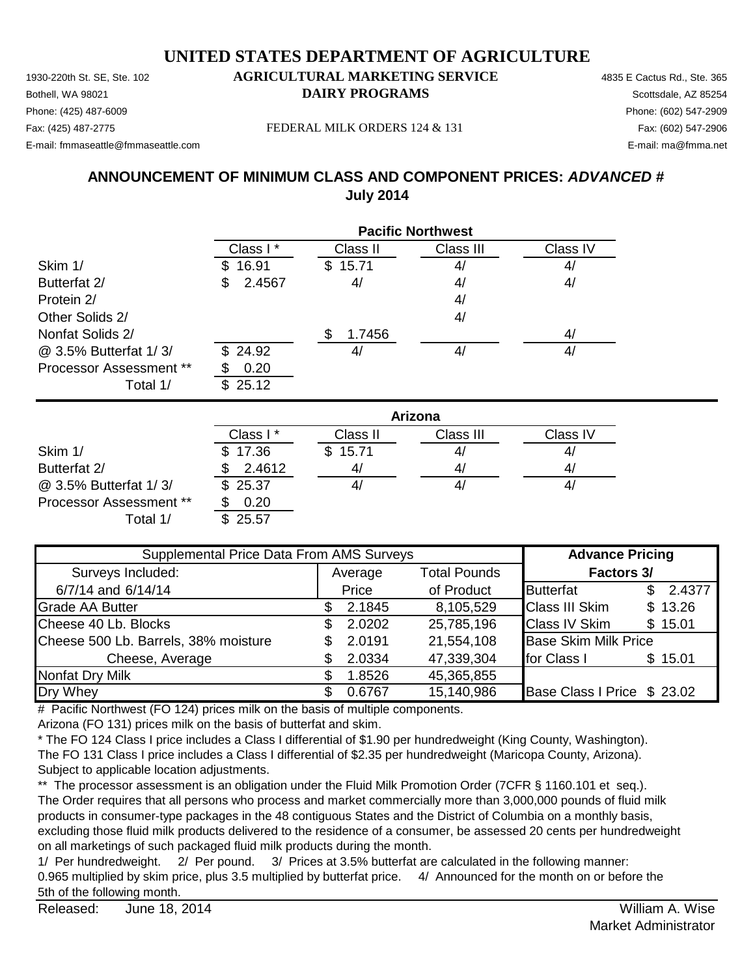1930-220th St. SE, Ste. 102 **AGRICULTURAL MARKETING SERVICE** 4835 E Cactus Rd., Ste. 365 Phone: (425) 487-6009 Phone: (602) 547-2909 E-mail: fmmaseattle@fmmaseattle.com E-mail: ma@fmma.net

# **Bothell, WA 98021 DAIRY PROGRAMS** Scottsdale, AZ 85254

Fax: (425) 487-2775 Fax: (602) 547-2906 FEDERAL MILK ORDERS 124 & 131

### **ANNOUNCEMENT OF MINIMUM CLASS AND COMPONENT PRICES:** *ADVANCED #* **July 2014**

|                                | <b>Pacific Northwest</b> |          |           |          |  |  |
|--------------------------------|--------------------------|----------|-----------|----------|--|--|
|                                | Class I*                 | Class II | Class III | Class IV |  |  |
| Skim 1/                        | 16.91<br>S.              | \$15.71  | 4/        | 4/       |  |  |
| Butterfat 2/                   | 2.4567<br>\$             | 4/       | 4/        | 4/       |  |  |
| Protein 2/                     |                          |          | 4/        |          |  |  |
| Other Solids 2/                |                          |          | 4/        |          |  |  |
| Nonfat Solids 2/               |                          | 1.7456   |           | 4/       |  |  |
| @ 3.5% Butterfat 1/3/          | \$24.92                  | 41       | 4/        | 4/       |  |  |
| <b>Processor Assessment **</b> | 0.20                     |          |           |          |  |  |
| Total 1/                       | 25.12<br>\$.             |          |           |          |  |  |

|                                | Arizona  |          |           |          |  |
|--------------------------------|----------|----------|-----------|----------|--|
|                                | Class I* | Class II | Class III | Class IV |  |
| Skim 1/                        | \$17.36  | \$15.71  | 41        | 41       |  |
| Butterfat 2/                   | 2.4612   | 4/       | 4,        | 4        |  |
| @ 3.5% Butterfat 1/3/          | \$25.37  |          | 4,        | 41       |  |
| <b>Processor Assessment **</b> | 0.20     |          |           |          |  |
| Total 1/                       | \$25.57  |          |           |          |  |

| Supplemental Price Data From AMS Surveys |                                |        |            | <b>Advance Pricing</b>      |               |  |  |  |  |  |  |  |            |
|------------------------------------------|--------------------------------|--------|------------|-----------------------------|---------------|--|--|--|--|--|--|--|------------|
| Surveys Included:                        | <b>Total Pounds</b><br>Average |        |            |                             |               |  |  |  |  |  |  |  | Factors 3/ |
| 6/7/14 and 6/14/14                       |                                | Price  | of Product | <b>Butterfat</b>            | 2.4377<br>\$. |  |  |  |  |  |  |  |            |
| <b>Grade AA Butter</b>                   |                                | 2.1845 | 8,105,529  | <b>Class III Skim</b>       | \$13.26       |  |  |  |  |  |  |  |            |
| Cheese 40 Lb. Blocks                     |                                | 2.0202 | 25,785,196 | <b>Class IV Skim</b>        | \$15.01       |  |  |  |  |  |  |  |            |
| Cheese 500 Lb. Barrels, 38% moisture     |                                | 2.0191 | 21,554,108 | <b>Base Skim Milk Price</b> |               |  |  |  |  |  |  |  |            |
| Cheese, Average                          |                                | 2.0334 | 47,339,304 | for Class I                 | \$15.01       |  |  |  |  |  |  |  |            |
| Nonfat Dry Milk                          |                                | 1.8526 | 45,365,855 |                             |               |  |  |  |  |  |  |  |            |
| Dry Whey                                 |                                | 0.6767 | 15,140,986 | Base Class I Price \$ 23.02 |               |  |  |  |  |  |  |  |            |

# Pacific Northwest (FO 124) prices milk on the basis of multiple components.

Arizona (FO 131) prices milk on the basis of butterfat and skim.

\* The FO 124 Class I price includes a Class I differential of \$1.90 per hundredweight (King County, Washington). The FO 131 Class I price includes a Class I differential of \$2.35 per hundredweight (Maricopa County, Arizona). Subject to applicable location adjustments.

\*\* The processor assessment is an obligation under the Fluid Milk Promotion Order (7CFR § 1160.101 et seq.). The Order requires that all persons who process and market commercially more than 3,000,000 pounds of fluid milk products in consumer-type packages in the 48 contiguous States and the District of Columbia on a monthly basis, excluding those fluid milk products delivered to the residence of a consumer, be assessed 20 cents per hundredweight on all marketings of such packaged fluid milk products during the month.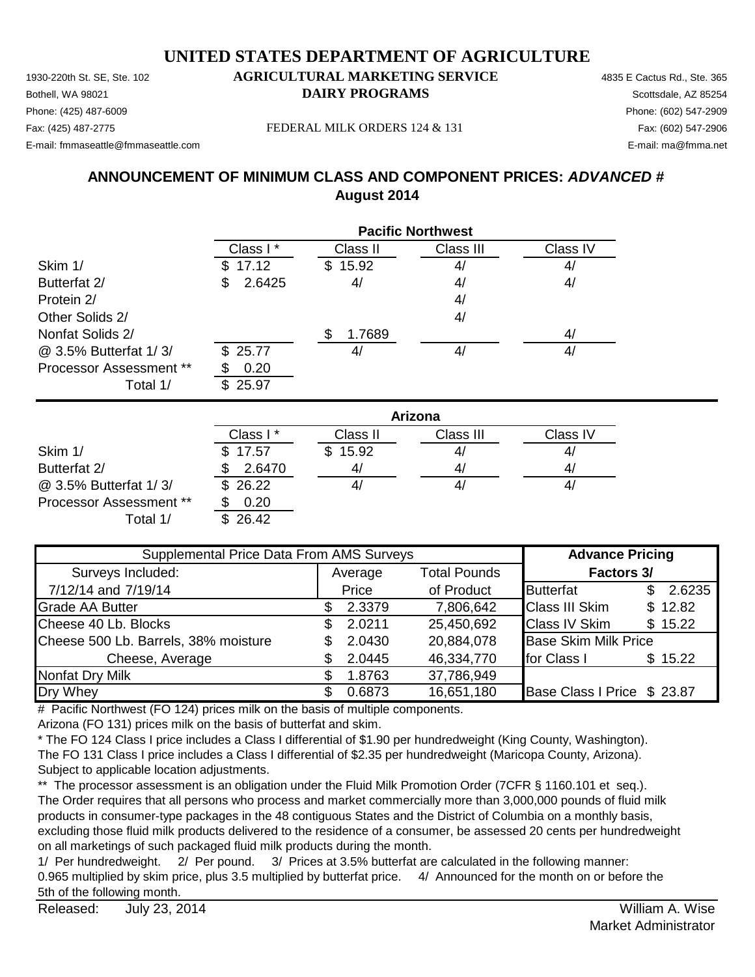1930-220th St. SE, Ste. 102 **AGRICULTURAL MARKETING SERVICE** 4835 E Cactus Rd., Ste. 365 **Bothell, WA 98021 DAIRY PROGRAMS** Scottsdale, AZ 85254 E-mail: fmmaseattle@fmmaseattle.com E-mail: ma@fmma.net

# Phone: (425) 487-6009 Phone: (602) 547-2909

Fax: (425) 487-2775 Fax: (602) 547-2906 FEDERAL MILK ORDERS 124 & 131

### **ANNOUNCEMENT OF MINIMUM CLASS AND COMPONENT PRICES:** *ADVANCED #* **August 2014**

|                                            | <b>Pacific Northwest</b> |          |           |          |  |  |
|--------------------------------------------|--------------------------|----------|-----------|----------|--|--|
|                                            | Class I*                 | Class II | Class III | Class IV |  |  |
| Skim 1/                                    | 17.12                    | \$15.92  | 4/        | 4/       |  |  |
| Butterfat 2/                               | 2.6425<br>S              | 4/       | 4/        | 4/       |  |  |
| Protein 2/                                 |                          |          | 4/        |          |  |  |
| Other Solids 2/                            |                          |          | 4/        |          |  |  |
| Nonfat Solids 2/                           |                          | 1.7689   |           | 4/       |  |  |
| @ 3.5% Butterfat 1/3/                      | \$25.77                  | 4,       | 4/        | 4/       |  |  |
| <b>Processor Assessment **</b><br>Total 1/ | 0.20<br>\$25.97          |          |           |          |  |  |
|                                            |                          |          |           |          |  |  |

|                                | Arizona  |              |           |          |  |
|--------------------------------|----------|--------------|-----------|----------|--|
|                                | Class I* | Class II     | Class III | Class IV |  |
| Skim 1/                        | \$17.57  | 15.92<br>\$. | 4/        | 4,       |  |
| Butterfat 2/                   | 2.6470   | 4/           | 4/        | 4/       |  |
| @ 3.5% Butterfat 1/3/          | \$26.22  |              | 41        | 4,       |  |
| <b>Processor Assessment **</b> | 0.20     |              |           |          |  |
| Total 1/                       | 26.42    |              |           |          |  |

| Supplemental Price Data From AMS Surveys |                                |        |            | <b>Advance Pricing</b>      |            |         |  |
|------------------------------------------|--------------------------------|--------|------------|-----------------------------|------------|---------|--|
| Surveys Included:                        | <b>Total Pounds</b><br>Average |        |            |                             | Factors 3/ |         |  |
| 7/12/14 and 7/19/14                      |                                | Price  | of Product | <b>Butterfat</b>            | \$.        | 2.6235  |  |
| <b>Grade AA Butter</b>                   |                                | 2.3379 | 7,806,642  | <b>Class III Skim</b>       |            | \$12.82 |  |
| Cheese 40 Lb. Blocks                     |                                | 2.0211 | 25,450,692 | <b>Class IV Skim</b>        |            | \$15.22 |  |
| Cheese 500 Lb. Barrels, 38% moisture     |                                | 2.0430 | 20,884,078 | <b>Base Skim Milk Price</b> |            |         |  |
| Cheese, Average                          |                                | 2.0445 | 46,334,770 | for Class I                 |            | \$15.22 |  |
| <b>Nonfat Dry Milk</b>                   |                                | 1.8763 | 37,786,949 |                             |            |         |  |
| Dry Whey                                 |                                | 0.6873 | 16,651,180 | Base Class I Price \$ 23.87 |            |         |  |

# Pacific Northwest (FO 124) prices milk on the basis of multiple components.

Arizona (FO 131) prices milk on the basis of butterfat and skim.

\* The FO 124 Class I price includes a Class I differential of \$1.90 per hundredweight (King County, Washington). The FO 131 Class I price includes a Class I differential of \$2.35 per hundredweight (Maricopa County, Arizona). Subject to applicable location adjustments.

\*\* The processor assessment is an obligation under the Fluid Milk Promotion Order (7CFR § 1160.101 et seq.). The Order requires that all persons who process and market commercially more than 3,000,000 pounds of fluid milk products in consumer-type packages in the 48 contiguous States and the District of Columbia on a monthly basis, excluding those fluid milk products delivered to the residence of a consumer, be assessed 20 cents per hundredweight on all marketings of such packaged fluid milk products during the month.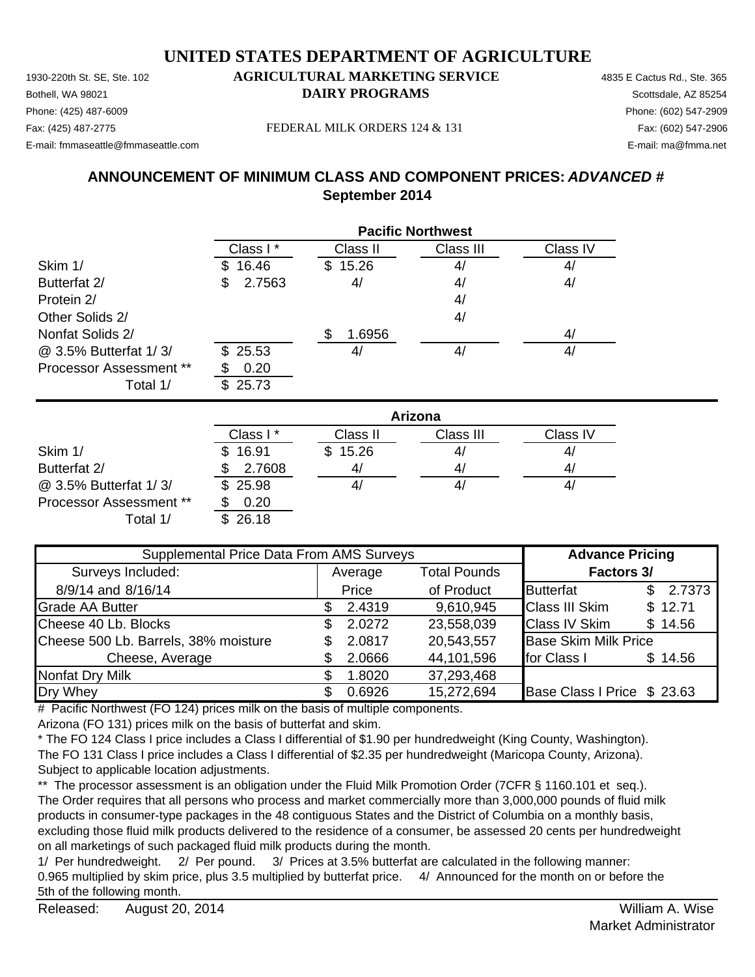1930-220th St. SE, Ste. 102 **AGRICULTURAL MARKETING SERVICE** 4835 E Cactus Rd., Ste. 365 E-mail: fmmaseattle@fmmaseattle.com E-mail: ma@fmma.net

#### **Bothell, WA 98021 DAIRY PROGRAMS** Scottsdale, AZ 85254 Phone: (425) 487-6009 Phone: (602) 547-2909

Fax: (425) 487-2775 Fax: (602) 547-2906 FEDERAL MILK ORDERS 124 & 131

### **ANNOUNCEMENT OF MINIMUM CLASS AND COMPONENT PRICES:** *ADVANCED #* **September 2014**

|                                | <b>Pacific Northwest</b> |                |           |          |  |
|--------------------------------|--------------------------|----------------|-----------|----------|--|
|                                | Class I*                 | Class II       | Class III | Class IV |  |
| Skim 1/                        | 16.46<br>SS              | 15.26<br>S.    | 4/        | 4/       |  |
| Butterfat 2/                   | 2.7563<br>\$             | 4/             | 4/        | 4/       |  |
| Protein 2/                     |                          |                | 4/        |          |  |
| Other Solids 2/                |                          |                | 4/        |          |  |
| Nonfat Solids 2/               |                          | 1.6956         |           | 4/       |  |
| @ 3.5% Butterfat 1/3/          | \$25.53                  | 4 <sub>l</sub> | 4/        | 4/       |  |
| <b>Processor Assessment **</b> | 0.20                     |                |           |          |  |
| Total 1/                       | 25.73<br>\$.             |                |           |          |  |

|                                | Arizona  |                |           |          |  |
|--------------------------------|----------|----------------|-----------|----------|--|
|                                | Class I* | Class II       | Class III | Class IV |  |
| Skim 1/                        | \$16.91  | \$15.26        | 41        | 4,       |  |
| Butterfat 2/                   | 2.7608   | 4 <sub>l</sub> | 41        | 4,       |  |
| @ 3.5% Butterfat 1/3/          | \$25.98  |                | 41        | 4/       |  |
| <b>Processor Assessment **</b> | 0.20     |                |           |          |  |
| Total 1/                       | \$26.18  |                |           |          |  |

| Supplemental Price Data From AMS Surveys |  |         |                     | <b>Advance Pricing</b>      |              |  |
|------------------------------------------|--|---------|---------------------|-----------------------------|--------------|--|
| Surveys Included:                        |  | Average | <b>Total Pounds</b> | <b>Factors 3/</b>           |              |  |
| 8/9/14 and 8/16/14                       |  | Price   | of Product          | <b>Butterfat</b>            | 2.7373<br>S. |  |
| <b>Grade AA Butter</b>                   |  | 2.4319  | 9,610,945           | <b>Class III Skim</b>       | \$12.71      |  |
| Cheese 40 Lb. Blocks                     |  | 2.0272  | 23,558,039          | <b>Class IV Skim</b>        | \$14.56      |  |
| Cheese 500 Lb. Barrels, 38% moisture     |  | 2.0817  | 20,543,557          | <b>Base Skim Milk Price</b> |              |  |
| Cheese, Average                          |  | 2.0666  | 44,101,596          | for Class I                 | \$14.56      |  |
| <b>Nonfat Dry Milk</b>                   |  | 1.8020  | 37,293,468          |                             |              |  |
| Dry Whey                                 |  | 0.6926  | 15,272,694          | Base Class I Price \$ 23.63 |              |  |

# Pacific Northwest (FO 124) prices milk on the basis of multiple components.

Arizona (FO 131) prices milk on the basis of butterfat and skim.

\* The FO 124 Class I price includes a Class I differential of \$1.90 per hundredweight (King County, Washington). The FO 131 Class I price includes a Class I differential of \$2.35 per hundredweight (Maricopa County, Arizona). Subject to applicable location adjustments.

\*\* The processor assessment is an obligation under the Fluid Milk Promotion Order (7CFR § 1160.101 et seq.). The Order requires that all persons who process and market commercially more than 3,000,000 pounds of fluid milk products in consumer-type packages in the 48 contiguous States and the District of Columbia on a monthly basis, excluding those fluid milk products delivered to the residence of a consumer, be assessed 20 cents per hundredweight on all marketings of such packaged fluid milk products during the month.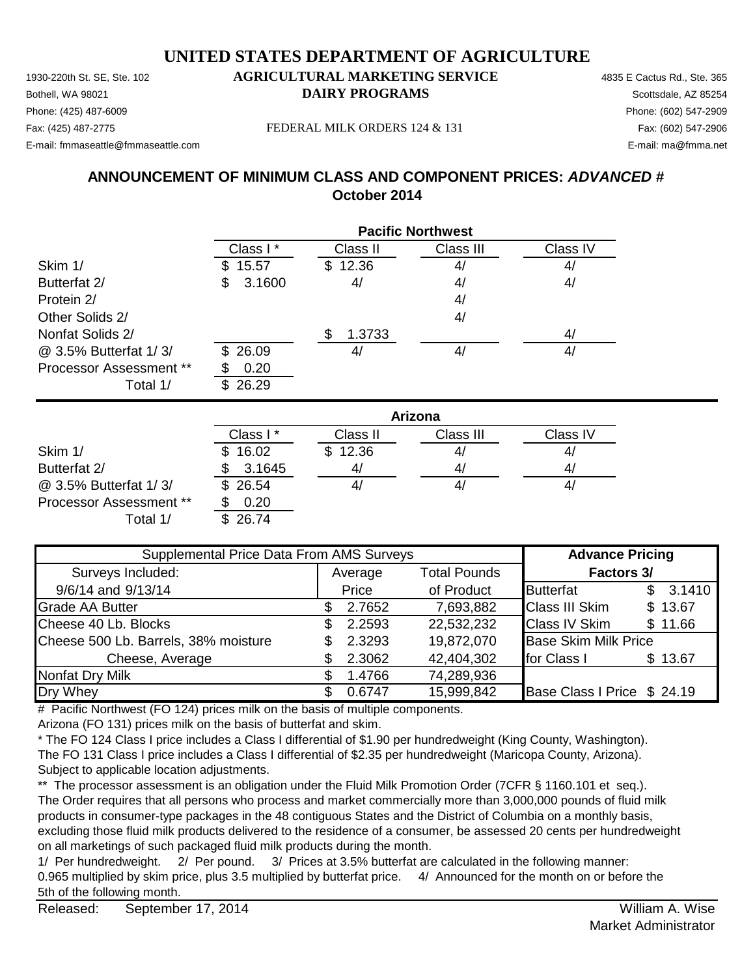1930-220th St. SE, Ste. 102 **AGRICULTURAL MARKETING SERVICE** 4835 E Cactus Rd., Ste. 365 **Bothell, WA 98021 DAIRY PROGRAMS** Scottsdale, AZ 85254 E-mail: fmmaseattle@fmmaseattle.com E-mail: ma@fmma.net

# Phone: (425) 487-6009 Phone: (602) 547-2909

Fax: (425) 487-2775 Fax: (602) 547-2906 FEDERAL MILK ORDERS 124 & 131

### **ANNOUNCEMENT OF MINIMUM CLASS AND COMPONENT PRICES:** *ADVANCED #* **October 2014**

|                                | <b>Pacific Northwest</b> |          |           |          |  |
|--------------------------------|--------------------------|----------|-----------|----------|--|
|                                | Class I*                 | Class II | Class III | Class IV |  |
| Skim 1/                        | 15.57<br>\$.             | \$12.36  | 4/        | 4/       |  |
| Butterfat 2/                   | 3.1600<br>\$             | 4/       | 4/        | 4/       |  |
| Protein 2/                     |                          |          | 4/        |          |  |
| Other Solids 2/                |                          |          | 4/        |          |  |
| Nonfat Solids 2/               |                          | 1.3733   |           | 4/       |  |
| @ 3.5% Butterfat 1/3/          | \$26.09                  | 41       | 4/        | 4/       |  |
| <b>Processor Assessment **</b> | 0.20                     |          |           |          |  |
| Total 1/                       | 26.29                    |          |           |          |  |

|                                | Arizona  |          |           |          |  |
|--------------------------------|----------|----------|-----------|----------|--|
|                                | Class I* | Class II | Class III | Class IV |  |
| Skim 1/                        | \$16.02  | \$12.36  | 41        | 4/       |  |
| Butterfat 2/                   | 3.1645   | 41       | 41        | 41       |  |
| @ 3.5% Butterfat 1/3/          | \$26.54  |          | 41        | 41       |  |
| <b>Processor Assessment **</b> | 0.20     |          |           |          |  |
| Total 1/                       | 26.74    |          |           |          |  |

| Supplemental Price Data From AMS Surveys |         |        |                     | <b>Advance Pricing</b>      |              |  |
|------------------------------------------|---------|--------|---------------------|-----------------------------|--------------|--|
| Surveys Included:                        | Average |        | <b>Total Pounds</b> | Factors 3/                  |              |  |
| 9/6/14 and 9/13/14                       |         | Price  | of Product          | <b>Butterfat</b>            | 3.1410<br>\$ |  |
| <b>Grade AA Butter</b>                   |         | 2.7652 | 7,693,882           | <b>Class III Skim</b>       | \$13.67      |  |
| Cheese 40 Lb. Blocks                     |         | 2.2593 | 22,532,232          | <b>Class IV Skim</b>        | \$11.66      |  |
| Cheese 500 Lb. Barrels, 38% moisture     | \$.     | 2.3293 | 19,872,070          | <b>Base Skim Milk Price</b> |              |  |
| Cheese, Average                          |         | 2.3062 | 42,404,302          | for Class I                 | \$13.67      |  |
| Nonfat Dry Milk                          |         | 1.4766 | 74,289,936          |                             |              |  |
| Dry Whey                                 |         | 0.6747 | 15,999,842          | Base Class I Price \$ 24.19 |              |  |

# Pacific Northwest (FO 124) prices milk on the basis of multiple components.

Arizona (FO 131) prices milk on the basis of butterfat and skim.

\* The FO 124 Class I price includes a Class I differential of \$1.90 per hundredweight (King County, Washington). The FO 131 Class I price includes a Class I differential of \$2.35 per hundredweight (Maricopa County, Arizona). Subject to applicable location adjustments.

\*\* The processor assessment is an obligation under the Fluid Milk Promotion Order (7CFR § 1160.101 et seq.). The Order requires that all persons who process and market commercially more than 3,000,000 pounds of fluid milk products in consumer-type packages in the 48 contiguous States and the District of Columbia on a monthly basis, excluding those fluid milk products delivered to the residence of a consumer, be assessed 20 cents per hundredweight on all marketings of such packaged fluid milk products during the month.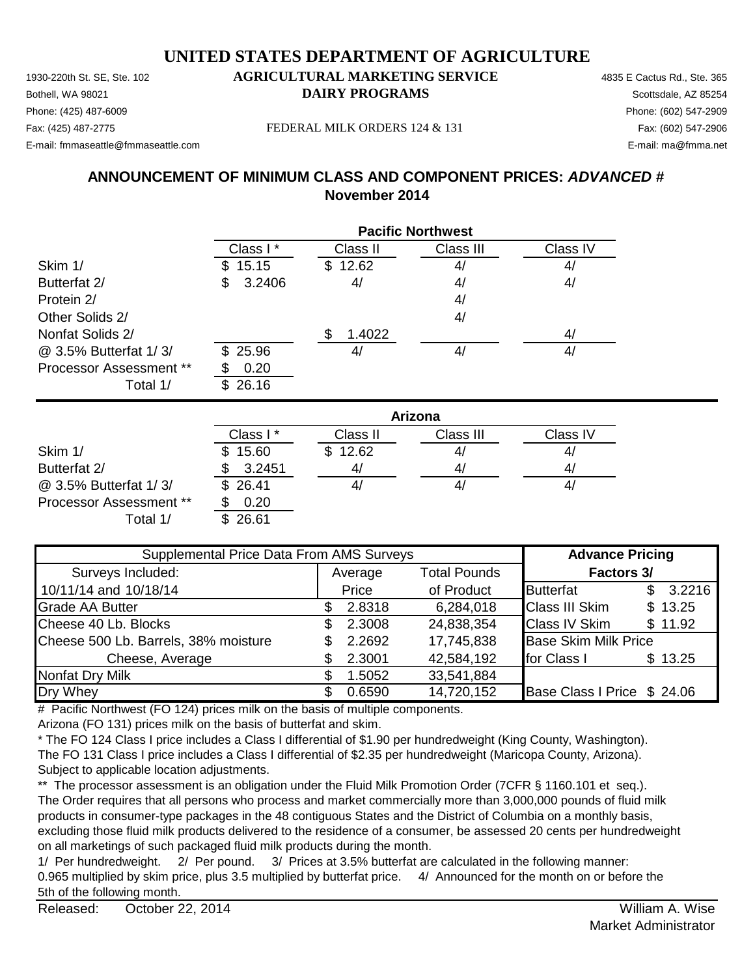1930-220th St. SE, Ste. 102 **AGRICULTURAL MARKETING SERVICE** 4835 E Cactus Rd., Ste. 365 **Bothell, WA 98021 DAIRY PROGRAMS** Scottsdale, AZ 85254 Fax: (425) 487-2775 Fax: (602) 547-2906 FEDERAL MILK ORDERS 124 & 131 E-mail: fmmaseattle@fmmaseattle.com E-mail: ma@fmma.net

# Phone: (425) 487-6009 Phone: (602) 547-2909

### **ANNOUNCEMENT OF MINIMUM CLASS AND COMPONENT PRICES:** *ADVANCED #* **November 2014**

|                                | <b>Pacific Northwest</b> |          |           |          |  |
|--------------------------------|--------------------------|----------|-----------|----------|--|
|                                | Class I*                 | Class II | Class III | Class IV |  |
| Skim 1/                        | 15.15<br>\$.             | \$12.62  | 4/        | 4/       |  |
| Butterfat 2/                   | 3.2406<br>\$             | 4/       | 4/        | 4/       |  |
| Protein 2/                     |                          |          | 4/        |          |  |
| Other Solids 2/                |                          |          | 4/        |          |  |
| Nonfat Solids 2/               |                          | 1.4022   |           | 4/       |  |
| @ 3.5% Butterfat 1/3/          | \$25.96                  | 41       | 4/        | 4/       |  |
| <b>Processor Assessment **</b> | 0.20                     |          |           |          |  |
| Total 1/                       | 26.16                    |          |           |          |  |

|                                | Arizona  |          |           |          |  |
|--------------------------------|----------|----------|-----------|----------|--|
|                                | Class I* | Class II | Class III | Class IV |  |
| Skim 1/                        | \$15.60  | \$12.62  | 4/        | 41       |  |
| Butterfat 2/                   | 3.2451   | 4/       | 4/        | 4        |  |
| @ 3.5% Butterfat 1/3/          | \$26.41  |          | 4,        | 41       |  |
| <b>Processor Assessment **</b> | 0.20     |          |           |          |  |
| Total 1/                       | \$26.61  |          |           |          |  |

| Supplemental Price Data From AMS Surveys |         |        |                     | <b>Advance Pricing</b>      |    |         |
|------------------------------------------|---------|--------|---------------------|-----------------------------|----|---------|
| Surveys Included:                        | Average |        | <b>Total Pounds</b> | Factors 3/                  |    |         |
| 10/11/14 and 10/18/14                    |         | Price  | of Product          | <b>Butterfat</b>            | \$ | 3.2216  |
| <b>Grade AA Butter</b>                   |         | 2.8318 | 6,284,018           | <b>Class III Skim</b>       |    | \$13.25 |
| Cheese 40 Lb. Blocks                     | \$.     | 2.3008 | 24,838,354          | <b>Class IV Skim</b>        |    | \$11.92 |
| Cheese 500 Lb. Barrels, 38% moisture     |         | 2.2692 | 17,745,838          | <b>Base Skim Milk Price</b> |    |         |
| Cheese, Average                          |         | 2.3001 | 42,584,192          | for Class I                 |    | \$13.25 |
| Nonfat Dry Milk                          |         | 1.5052 | 33,541,884          |                             |    |         |
| Dry Whey                                 |         | 0.6590 | 14,720,152          | Base Class I Price \$ 24.06 |    |         |

# Pacific Northwest (FO 124) prices milk on the basis of multiple components.

Arizona (FO 131) prices milk on the basis of butterfat and skim.

\* The FO 124 Class I price includes a Class I differential of \$1.90 per hundredweight (King County, Washington). The FO 131 Class I price includes a Class I differential of \$2.35 per hundredweight (Maricopa County, Arizona). Subject to applicable location adjustments.

\*\* The processor assessment is an obligation under the Fluid Milk Promotion Order (7CFR § 1160.101 et seq.). The Order requires that all persons who process and market commercially more than 3,000,000 pounds of fluid milk products in consumer-type packages in the 48 contiguous States and the District of Columbia on a monthly basis, excluding those fluid milk products delivered to the residence of a consumer, be assessed 20 cents per hundredweight on all marketings of such packaged fluid milk products during the month.